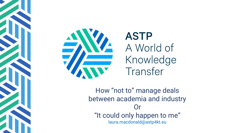



# **ASTP** A World of Knowledge Transfer

How "not to" manage deals between academia and industry **Or** "It could only happen to me" laura.macdonald@astp4kt.eu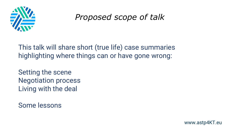

# *Proposed scope of talk*

This talk will share short (true life) case summaries highlighting where things can or have gone wrong:

Setting the scene Negotiation process Living with the deal

Some lessons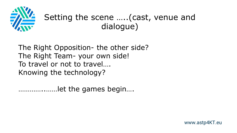

# Setting the scene …..(cast, venue and dialogue)

The Right Opposition- the other side? The Right Team- your own side! To travel or not to travel…. Knowing the technology?

…………..……let the games begin….

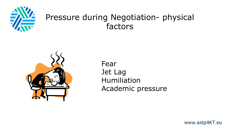

# Pressure during Negotiation- physical factors



Fear Jet Lag Humiliation Academic pressure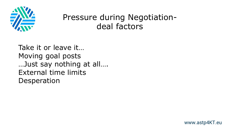

# Pressure during Negotiationdeal factors

Take it or leave it… Moving goal posts …Just say nothing at all…. External time limits Desperation

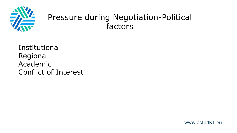

# Pressure during Negotiation-Political factors

Institutional Regional Academic Conflict of Interest

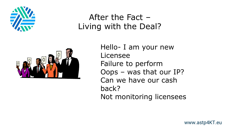

# After the Fact – Living with the Deal?



Hello- I am your new Licensee Failure to perform Oops – was that our IP? Can we have our cash back? Not monitoring licensees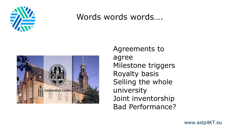

#### Words words words....



Agreements to agree Milestone triggers Royalty basis Selling the whole university Joint inventorship Bad Performance?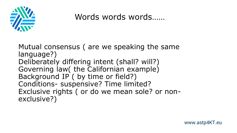

### Words words……

Mutual consensus ( are we speaking the same language?) Deliberately differing intent (shall? will?) Governing law( the Californian example) Background IP ( by time or field?) Conditions- suspensive? Time limited? Exclusive rights ( or do we mean sole? or nonexclusive?)

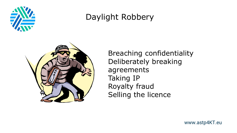

# Daylight Robbery



Breaching confidentiality Deliberately breaking agreements Taking IP Royalty fraud Selling the licence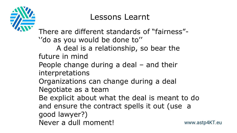

# Lessons Learnt

www.astp4KT.eu There are different standards of "fairness"- ''do as you would be done to'' A deal is a relationship, so bear the future in mind People change during a deal – and their interpretations Organizations can change during a deal Negotiate as a team Be explicit about what the deal is meant to do and ensure the contract spells it out (use a good lawyer?) Never a dull moment!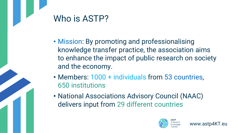# Who is ASTP?

- Mission: By promoting and professionalising knowledge transfer practice, the association aims to enhance the impact of public research on society and the economy.
- Members: 1000 + individuals from 53 countries, 650 institutions
- National Associations Advisory Council (NAAC) delivers input from 29 different countries